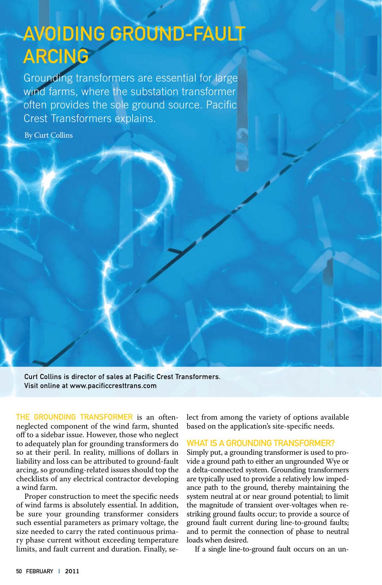# Avoiding Ground-Fault **ARCING**

Grounding transformers are essential for large wind farms, where the substation transformer often provides the sole ground source. Pacific Crest Transformers explains.

By Curt Collins

Curt Collins is director of sales at Pacific Crest Transformers. Visit online at www.pacificcresttrans.com

THE GROUNDING TRANSFORMER is an oftenneglected component of the wind farm, shunted off to a sidebar issue. However, those who neglect to adequately plan for grounding transformers do so at their peril. In reality, millions of dollars in liability and loss can be attributed to ground-fault arcing, so grounding-related issues should top the checklists of any electrical contractor developing a wind farm.

Proper construction to meet the specific needs of wind farms is absolutely essential. In addition, be sure your grounding transformer considers such essential parameters as primary voltage, the size needed to carry the rated continuous primary phase current without exceeding temperature limits, and fault current and duration. Finally, se-

lect from among the variety of options available based on the application's site-specific needs.

## WHAT IS A GROUNDING TRANSFORMER?

Simply put, a grounding transformer is used to provide a ground path to either an ungrounded Wye or a delta-connected system. Grounding transformers are typically used to provide a relatively low impedance path to the ground, thereby maintaining the system neutral at or near ground potential; to limit the magnitude of transient over-voltages when restriking ground faults occur; to provide a source of ground fault current during line-to-ground faults; and to permit the connection of phase to neutral loads when desired.

If a single line-to-ground fault occurs on an un-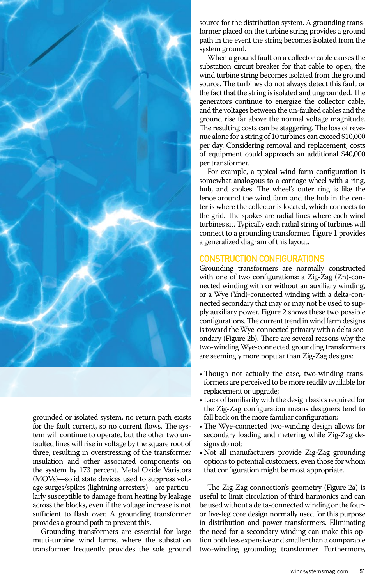

grounded or isolated system, no return path exists for the fault current, so no current flows. The system will continue to operate, but the other two unfaulted lines will rise in voltage by the square root of three, resulting in overstressing of the transformer insulation and other associated components on the system by 173 percent. Metal Oxide Varistors (MOVs)—solid state devices used to suppress voltage surges/spikes (lightning arresters)—are particularly susceptible to damage from heating by leakage across the blocks, even if the voltage increase is not sufficient to flash over. A grounding transformer provides a ground path to prevent this.

Grounding transformers are essential for large multi-turbine wind farms, where the substation transformer frequently provides the sole ground

source for the distribution system. A grounding transformer placed on the turbine string provides a ground path in the event the string becomes isolated from the system ground.

When a ground fault on a collector cable causes the substation circuit breaker for that cable to open, the wind turbine string becomes isolated from the ground source. The turbines do not always detect this fault or the fact that the string is isolated and ungrounded. The generators continue to energize the collector cable, and the voltages between the un-faulted cables and the ground rise far above the normal voltage magnitude. The resulting costs can be staggering. The loss of revenue alone for a string of 10 turbines can exceed \$10,000 per day. Considering removal and replacement, costs of equipment could approach an additional \$40,000 per transformer.

For example, a typical wind farm configuration is somewhat analogous to a carriage wheel with a ring, hub, and spokes. The wheel's outer ring is like the fence around the wind farm and the hub in the center is where the collector is located, which connects to the grid. The spokes are radial lines where each wind turbines sit. Typically each radial string of turbines will connect to a grounding transformer. Figure 1 provides a generalized diagram of this layout.

# Construction Configurations

Grounding transformers are normally constructed with one of two configurations: a Zig-Zag (Zn)-connected winding with or without an auxiliary winding, or a Wye (Ynd)-connected winding with a delta-connected secondary that may or may not be used to supply auxiliary power. Figure 2 shows these two possible configurations. The current trend in wind farm designs is toward the Wye-connected primary with a delta secondary (Figure 2b). There are several reasons why the two-winding Wye-connected grounding transformers are seemingly more popular than Zig-Zag designs:

- Though not actually the case, two-winding transformers are perceived to be more readily available for replacement or upgrade;
- Lack of familiarity with the design basics required for the Zig-Zag configuration means designers tend to fall back on the more familiar configuration;
- The Wye-connected two-winding design allows for secondary loading and metering while Zig-Zag designs do not;
- Not all manufacturers provide Zig-Zag grounding options to potential customers, even those for whom that configuration might be most appropriate.

The Zig-Zag connection's geometry (Figure 2a) is useful to limit circulation of third harmonics and can be used without a delta-connected winding or the fouror five-leg core design normally used for this purpose in distribution and power transformers. Eliminating the need for a secondary winding can make this option both less expensive and smaller than a comparable two-winding grounding transformer. Furthermore,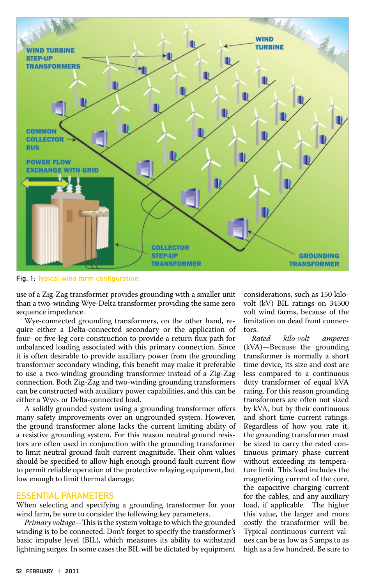

Fig. 1: Typical wind farm configuration.

use of a Zig-Zag transformer provides grounding with a smaller unit than a two-winding Wye-Delta transformer providing the same zero sequence impedance.

Wye-connected grounding transformers, on the other hand, require either a Delta-connected secondary or the application of four- or five-leg core construction to provide a return flux path for unbalanced loading associated with this primary connection. Since it is often desirable to provide auxiliary power from the grounding transformer secondary winding, this benefit may make it preferable to use a two-winding grounding transformer instead of a Zig-Zag connection. Both Zig-Zag and two-winding grounding transformers can be constructed with auxiliary power capabilities, and this can be either a Wye- or Delta-connected load.

A solidly grounded system using a grounding transformer offers many safety improvements over an ungrounded system. However, the ground transformer alone lacks the current limiting ability of a resistive grounding system. For this reason neutral ground resistors are often used in conjunction with the grounding transformer to limit neutral ground fault current magnitude. Their ohm values should be specified to allow high enough ground fault current flow to permit reliable operation of the protective relaying equipment, but low enough to limit thermal damage.

## Essential Parameters

When selecting and specifying a grounding transformer for your wind farm, be sure to consider the following key parameters.

*Primary voltage*—This is the system voltage to which the grounded winding is to be connected. Don't forget to specify the transformer's basic impulse level (BIL), which measures its ability to withstand lightning surges. In some cases the BIL will be dictated by equipment

considerations, such as 150 kilovolt (kV) BIL ratings on 34500 volt wind farms, because of the limitation on dead front connectors.

*Rated kilo-volt amperes*  (kVA)—Because the grounding transformer is normally a short time device, its size and cost are less compared to a continuous duty transformer of equal kVA rating. For this reason grounding transformers are often not sized by kVA, but by their continuous and short time current ratings. Regardless of how you rate it, the grounding transformer must be sized to carry the rated continuous primary phase current without exceeding its temperature limit. This load includes the magnetizing current of the core, the capacitive charging current for the cables, and any auxiliary load, if applicable. The higher this value, the larger and more costly the transformer will be. Typical continuous current values can be as low as 5 amps to as high as a few hundred. Be sure to